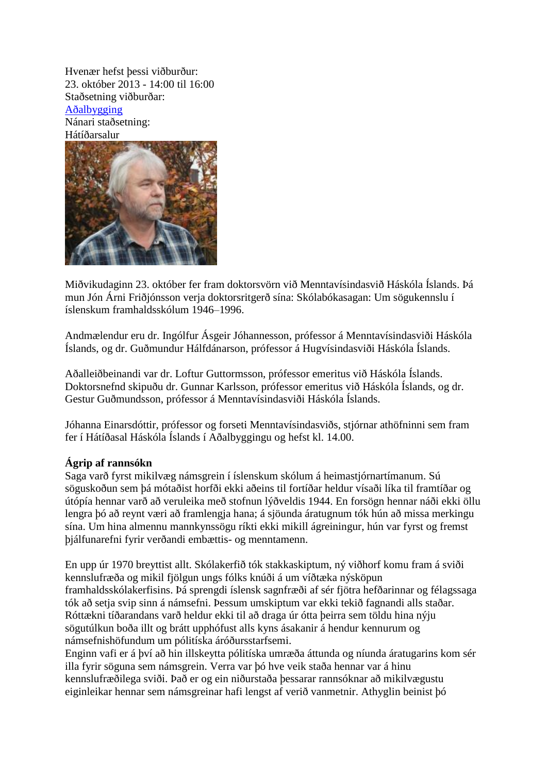Hvenær hefst þessi viðburður: 23. október 2013 - 14:00 til 16:00 Staðsetning viðburðar: [Aðalbygging](http://wayback.vefsafn.is/wayback/20140128173457/http:/www.hi.is/adalbygging) Nánari staðsetning: Hátíðarsalur



Miðvikudaginn 23. október fer fram doktorsvörn við Menntavísindasvið Háskóla Íslands. Þá mun Jón Árni Friðjónsson verja doktorsritgerð sína: Skólabókasagan: Um sögukennslu í íslenskum framhaldsskólum 1946–1996.

Andmælendur eru dr. Ingólfur Ásgeir Jóhannesson, prófessor á Menntavísindasviði Háskóla Íslands, og dr. Guðmundur Hálfdánarson, prófessor á Hugvísindasviði Háskóla Íslands.

Aðalleiðbeinandi var dr. Loftur Guttormsson, prófessor emeritus við Háskóla Íslands. Doktorsnefnd skipuðu dr. Gunnar Karlsson, prófessor emeritus við Háskóla Íslands, og dr. Gestur Guðmundsson, prófessor á Menntavísindasviði Háskóla Íslands.

Jóhanna Einarsdóttir, prófessor og forseti Menntavísindasviðs, stjórnar athöfninni sem fram fer í Hátíðasal Háskóla Íslands í Aðalbyggingu og hefst kl. 14.00.

## **Ágrip af rannsókn**

Saga varð fyrst mikilvæg námsgrein í íslenskum skólum á heimastjórnartímanum. Sú söguskoðun sem þá mótaðist horfði ekki aðeins til fortíðar heldur vísaði líka til framtíðar og útópía hennar varð að veruleika með stofnun lýðveldis 1944. En forsögn hennar náði ekki öllu lengra þó að reynt væri að framlengja hana; á sjöunda áratugnum tók hún að missa merkingu sína. Um hina almennu mannkynssögu ríkti ekki mikill ágreiningur, hún var fyrst og fremst þjálfunarefni fyrir verðandi embættis- og menntamenn.

En upp úr 1970 breyttist allt. Skólakerfið tók stakkaskiptum, ný viðhorf komu fram á sviði kennslufræða og mikil fjölgun ungs fólks knúði á um víðtæka nýsköpun framhaldsskólakerfisins. Þá sprengdi íslensk sagnfræði af sér fjötra hefðarinnar og félagssaga tók að setja svip sinn á námsefni. Þessum umskiptum var ekki tekið fagnandi alls staðar. Róttækni tíðarandans varð heldur ekki til að draga úr ótta þeirra sem töldu hina nýju sögutúlkun boða illt og brátt upphófust alls kyns ásakanir á hendur kennurum og námsefnishöfundum um pólitíska áróðursstarfsemi.

Enginn vafi er á því að hin illskeytta pólitíska umræða áttunda og níunda áratugarins kom sér illa fyrir söguna sem námsgrein. Verra var þó hve veik staða hennar var á hinu kennslufræðilega sviði. Það er og ein niðurstaða þessarar rannsóknar að mikilvægustu eiginleikar hennar sem námsgreinar hafi lengst af verið vanmetnir. Athyglin beinist þó